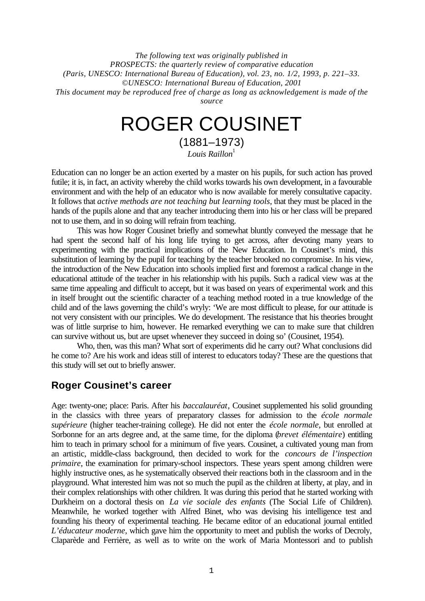*The following text was originally published in PROSPECTS: the quarterly review of comparative education (Paris, UNESCO: International Bureau of Education), vol. 23, no. 1/2, 1993, p. 221–33. ©UNESCO: International Bureau of Education, 2001 This document may be reproduced free of charge as long as acknowledgement is made of the source*

# ROGER COUSINET

(1881–1973)  $L$ ouis Raillon $^{\rm l}$ 

Education can no longer be an action exerted by a master on his pupils, for such action has proved futile; it is, in fact, an activity whereby the child works towards his own development, in a favourable environment and with the help of an educator who is now available for merely consultative capacity. It follows that *active methods are not teaching but learning tools*, that they must be placed in the hands of the pupils alone and that any teacher introducing them into his or her class will be prepared not to use them, and in so doing will refrain from teaching.

This was how Roger Cousinet briefly and somewhat bluntly conveyed the message that he had spent the second half of his long life trying to get across, after devoting many years to experimenting with the practical implications of the New Education. In Cousinet's mind, this substitution of learning by the pupil for teaching by the teacher brooked no compromise. In his view, the introduction of the New Education into schools implied first and foremost a radical change in the educational attitude of the teacher in his relationship with his pupils. Such a radical view was at the same time appealing and difficult to accept, but it was based on years of experimental work and this in itself brought out the scientific character of a teaching method rooted in a true knowledge of the child and of the laws governing the child's wryly: 'We are most difficult to please, for our attitude is not very consistent with our principles. We do development. The resistance that his theories brought was of little surprise to him, however. He remarked everything we can to make sure that children can survive without us, but are upset whenever they succeed in doing so' (Cousinet, 1954).

Who, then, was this man? What sort of experiments did he carry out? What conclusions did he come to? Are his work and ideas still of interest to educators today? These are the questions that this study will set out to briefly answer.

# **Roger Cousinet's career**

Age: twenty-one; place: Paris. After his *baccalauréat*, Cousinet supplemented his solid grounding in the classics with three years of preparatory classes for admission to the *école normale supérieure* (higher teacher-training college). He did not enter the *école normale*, but enrolled at Sorbonne for an arts degree and, at the same time, for the diploma (*brevet élémentaire*) entitling him to teach in primary school for a minimum of five years. Cousinet, a cultivated young man from an artistic, middle-class background, then decided to work for the *concours de l'inspection primaire*, the examination for primary-school inspectors. These years spent among children were highly instructive ones, as he systematically observed their reactions both in the classroom and in the playground. What interested him was not so much the pupil as the children at liberty, at play, and in their complex relationships with other children. It was during this period that he started working with Durkheim on a doctoral thesis on *La vie sociale des enfants* (The Social Life of Children). Meanwhile, he worked together with Alfred Binet, who was devising his intelligence test and founding his theory of experimental teaching. He became editor of an educational journal entitled *L'éducateur moderne*, which gave him the opportunity to meet and publish the works of Decroly, Claparède and Ferrière, as well as to write on the work of Maria Montessori and to publish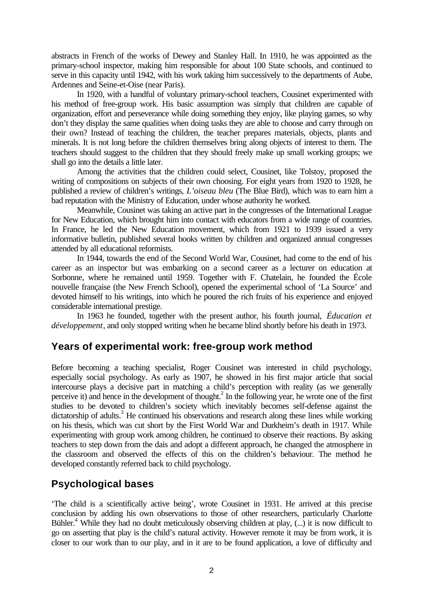abstracts in French of the works of Dewey and Stanley Hall. In 1910, he was appointed as the primary-school inspector, making him responsible for about 100 State schools, and continued to serve in this capacity until 1942, with his work taking him successively to the departments of Aube, Ardennes and Seine-et-Oise (near Paris).

In 1920, with a handful of voluntary primary-school teachers, Cousinet experimented with his method of free-group work. His basic assumption was simply that children are capable of organization, effort and perseverance while doing something they enjoy, like playing games, so why don't they display the same qualities when doing tasks they are able to choose and carry through on their own? Instead of teaching the children, the teacher prepares materials, objects, plants and minerals. It is not long before the children themselves bring along objects of interest to them. The teachers should suggest to the children that they should freely make up small working groups; we shall go into the details a little later.

Among the activities that the children could select, Cousinet, like Tolstoy, proposed the writing of compositions on subjects of their own choosing. For eight years from 1920 to 1928, he published a review of children's writings, *L'oiseau bleu* (The Blue Bird), which was to earn him a bad reputation with the Ministry of Education, under whose authority he worked.

Meanwhile, Cousinet was taking an active part in the congresses of the International League for New Education, which brought him into contact with educators from a wide range of countries. In France, he led the New Education movement, which from 1921 to 1939 issued a very informative bulletin, published several books written by children and organized annual congresses attended by all educational reformists.

In 1944, towards the end of the Second World War, Cousinet, had come to the end of his career as an inspector but was embarking on a second career as a lecturer on education at Sorbonne, where he remained until 1959. Together with F. Chatelain, he founded the École nouvelle française (the New French School), opened the experimental school of 'La Source' and devoted himself to his writings, into which he poured the rich fruits of his experience and enjoyed considerable international prestige.

In 1963 he founded, together with the present author, his fourth journal, *Éducation et développement*, and only stopped writing when he became blind shortly before his death in 1973.

## **Years of experimental work: free-group work method**

Before becoming a teaching specialist, Roger Cousinet was interested in child psychology, especially social psychology. As early as 1907, he showed in his first major article that social intercourse plays a decisive part in matching a child's perception with reality (as we generally perceive it) and hence in the development of thought.<sup>2</sup> In the following year, he wrote one of the first studies to be devoted to children's society which inevitably becomes self-defense against the dictatorship of adults.<sup>3</sup> He continued his observations and research along these lines while working on his thesis, which was cut short by the First World War and Durkheim's death in 1917. While experimenting with group work among children, he continued to observe their reactions. By asking teachers to step down from the dais and adopt a different approach, he changed the atmosphere in the classroom and observed the effects of this on the children's behaviour. The method he developed constantly referred back to child psychology.

# **Psychological bases**

'The child is a scientifically active being', wrote Cousinet in 1931. He arrived at this precise conclusion by adding his own observations to those of other researchers, particularly Charlotte Bühler.<sup>4</sup> While they had no doubt meticulously observing children at play, (...) it is now difficult to go on asserting that play is the child's natural activity. However remote it may be from work, it is closer to our work than to our play, and in it are to be found application, a love of difficulty and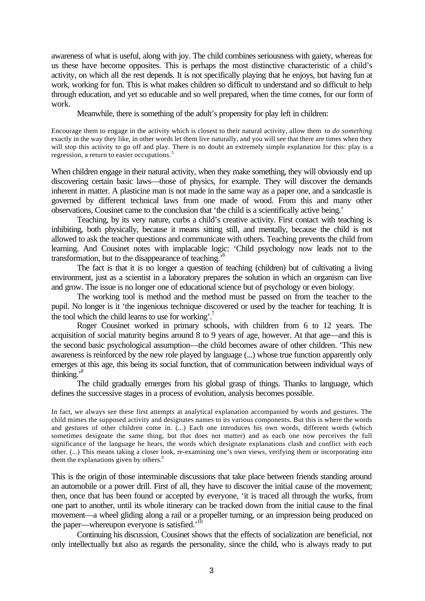awareness of what is useful, along with joy. The child combines seriousness with gaiety, whereas for us these have become opposites. This is perhaps the most distinctive characteristic of a child's activity, on which all the rest depends. It is not specifically playing that he enjoys, but having fun at work, working for fun. This is what makes children so difficult to understand and so difficult to help through education, and yet so educable and so well prepared, when the time comes, for our form of work.

Meanwhile, there is something of the adult's propensity for play left in children:

Encourage them to engage in the activity which is closest to their natural activity, allow them *to do something* exactly in the way they like, in other words let them live naturally, and you will see that there are times when they will stop this activity to go off and play. There is no doubt an extremely simple explanation for this: play is a regression, a return to easier occupations.<sup>5</sup>

When children engage in their natural activity, when they make something, they will obviously end up discovering certain basic laws—those of physics, for example. They will discover the demands inherent in matter. A plasticine man is not made in the same way as a paper one, and a sandcastle is governed by different technical laws from one made of wood. From this and many other observations, Cousinet came to the conclusion that 'the child is a scientifically active being.'

Teaching, by its very nature, curbs a child's creative activity. First contact with teaching is inhibiting, both physically, because it means sitting still, and mentally, because the child is not allowed to ask the teacher questions and communicate with others. Teaching prevents the child from learning. And Cousinet notes with implacable logic: 'Child psychology now leads not to the transformation, but to the disappearance of teaching.'<sup>6</sup>

The fact is that it is no longer a question of teaching (children) but of cultivating a living environment, just as a scientist in a laboratory prepares the solution in which an organism can live and grow. The issue is no longer one of educational science but of psychology or even biology.

The working tool is method and the method must be passed on from the teacher to the pupil. No longer is it 'the ingenious technique discovered or used by the teacher for teaching. It is the tool which the child learns to use for working'.<sup>7</sup>

Roger Cousinet worked in primary schools, with children from 6 to 12 years. The acquisition of social maturity begins around 8 to 9 years of age, however. At that age—and this is the second basic psychological assumption—the child becomes aware of other children. 'This new awareness is reinforced by the new role played by language (...) whose true function apparently only emerges at this age, this being its social function, that of communication between individual ways of thinking.'<sup>8</sup>

The child gradually emerges from his global grasp of things. Thanks to language, which defines the successive stages in a process of evolution, analysis becomes possible.

In fact, we always see these first attempts at analytical explanation accompanied by words and gestures. The child mimes the supposed activity and designates names to its various components. But this is where the words and gestures of other children come in. (...) Each one introduces his own words, different words (which sometimes designate the same thing, but that does not matter) and as each one now perceives the full significance of the language he hears, the words which designate explanations clash and conflict with each other. (...) This means taking a closer look, re-examining one's own views, verifying them or incorporating into them the explanations given by others.<sup>9</sup>

This is the origin of those interminable discussions that take place between friends standing around an automobile or a power drill. First of all, they have to discover the initial cause of the movement; then, once that has been found or accepted by everyone, 'it is traced all through the works, from one part to another, until its whole itinerary can be tracked down from the initial cause to the final movement—a wheel gliding along a rail or a propeller turning, or an impression being produced on the paper—whereupon everyone is satisfied.<sup>'10</sup>

Continuing his discussion, Cousinet shows that the effects of socialization are beneficial, not only intellectually but also as regards the personality, since the child, who is always ready to put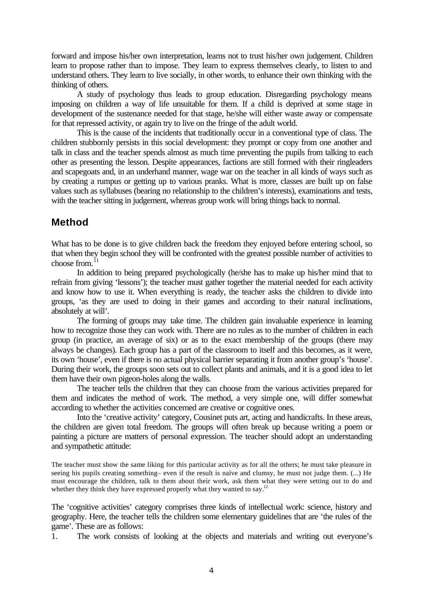forward and impose his/her own interpretation, learns not to trust his/her own judgement. Children learn to propose rather than to impose. They learn to express themselves clearly, to listen to and understand others. They learn to live socially, in other words, to enhance their own thinking with the thinking of others.

A study of psychology thus leads to group education. Disregarding psychology means imposing on children a way of life unsuitable for them. If a child is deprived at some stage in development of the sustenance needed for that stage, he/she will either waste away or compensate for that repressed activity, or again try to live on the fringe of the adult world.

This is the cause of the incidents that traditionally occur in a conventional type of class. The children stubbornly persists in this social development: they prompt or copy from one another and talk in class and the teacher spends almost as much time preventing the pupils from talking to each other as presenting the lesson. Despite appearances, factions are still formed with their ringleaders and scapegoats and, in an underhand manner, wage war on the teacher in all kinds of ways such as by creating a rumpus or getting up to various pranks. What is more, classes are built up on false values such as syllabuses (bearing no relationship to the children's interests), examinations and tests, with the teacher sitting in judgement, whereas group work will bring things back to normal.

# **Method**

What has to be done is to give children back the freedom they enjoyed before entering school, so that when they begin school they will be confronted with the greatest possible number of activities to choose from. $^{11}$ 

In addition to being prepared psychologically (he/she has to make up his/her mind that to refrain from giving 'lessons'); the teacher must gather together the material needed for each activity and know how to use it. When everything is ready, the teacher asks the children to divide into groups, 'as they are used to doing in their games and according to their natural inclinations, absolutely at will'.

The forming of groups may take time. The children gain invaluable experience in learning how to recognize those they can work with. There are no rules as to the number of children in each group (in practice, an average of six) or as to the exact membership of the groups (there may always be changes). Each group has a part of the classroom to itself and this becomes, as it were, its own 'house', even if there is no actual physical barrier separating it from another group's 'house'. During their work, the groups soon sets out to collect plants and animals, and it is a good idea to let them have their own pigeon-holes along the walls.

The teacher tells the children that they can choose from the various activities prepared for them and indicates the method of work. The method, a very simple one, will differ somewhat according to whether the activities concerned are creative or cognitive ones.

Into the 'creative activity' category, Cousinet puts art, acting and handicrafts. In these areas, the children are given total freedom. The groups will often break up because writing a poem or painting a picture are matters of personal expression. The teacher should adopt an understanding and sympathetic attitude:

The teacher must show the same liking for this particular activity as for all the others; he must take pleasure in seeing his pupils creating something– even if the result is naïve and clumsy, he must not judge them. (...) He must encourage the children, talk to them about their work, ask them what they were setting out to do and whether they think they have expressed properly what they wanted to say.<sup>12</sup>

The 'cognitive activities' category comprises three kinds of intellectual work: science, history and geography. Here, the teacher tells the children some elementary guidelines that are 'the rules of the game'. These are as follows:

1. The work consists of looking at the objects and materials and writing out everyone's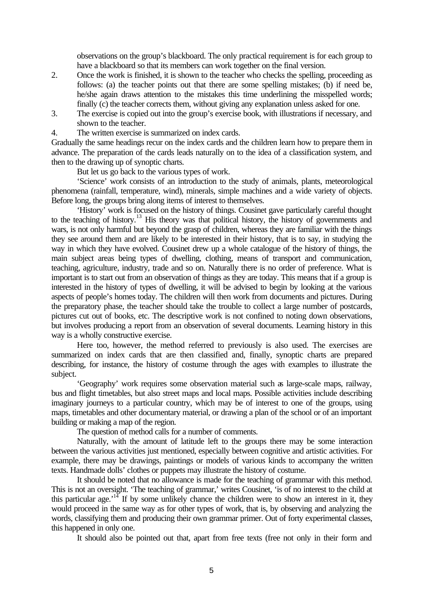observations on the group's blackboard. The only practical requirement is for each group to have a blackboard so that its members can work together on the final version.

- 2. Once the work is finished, it is shown to the teacher who checks the spelling, proceeding as follows: (a) the teacher points out that there are some spelling mistakes; (b) if need be, he/she again draws attention to the mistakes this time underlining the misspelled words; finally (c) the teacher corrects them, without giving any explanation unless asked for one.
- 3. The exercise is copied out into the group's exercise book, with illustrations if necessary, and shown to the teacher.
- 4. The written exercise is summarized on index cards.

Gradually the same headings recur on the index cards and the children learn how to prepare them in advance. The preparation of the cards leads naturally on to the idea of a classification system, and then to the drawing up of synoptic charts.

But let us go back to the various types of work.

'Science' work consists of an introduction to the study of animals, plants, meteorological phenomena (rainfall, temperature, wind), minerals, simple machines and a wide variety of objects. Before long, the groups bring along items of interest to themselves.

'History' work is focused on the history of things. Cousinet gave particularly careful thought to the teaching of history.<sup>13</sup> His theory was that political history, the history of governments and wars, is not only harmful but beyond the grasp of children, whereas they are familiar with the things they see around them and are likely to be interested in their history, that is to say, in studying the way in which they have evolved. Cousinet drew up a whole catalogue of the history of things, the main subject areas being types of dwelling, clothing, means of transport and communication, teaching, agriculture, industry, trade and so on. Naturally there is no order of preference. What is important is to start out from an observation of things as they are today. This means that if a group is interested in the history of types of dwelling, it will be advised to begin by looking at the various aspects of people's homes today. The children will then work from documents and pictures. During the preparatory phase, the teacher should take the trouble to collect a large number of postcards, pictures cut out of books, etc. The descriptive work is not confined to noting down observations, but involves producing a report from an observation of several documents. Learning history in this way is a wholly constructive exercise.

Here too, however, the method referred to previously is also used. The exercises are summarized on index cards that are then classified and, finally, synoptic charts are prepared describing, for instance, the history of costume through the ages with examples to illustrate the subject.

'Geography' work requires some observation material such as large-scale maps, railway, bus and flight timetables, but also street maps and local maps. Possible activities include describing imaginary journeys to a particular country, which may be of interest to one of the groups, using maps, timetables and other documentary material, or drawing a plan of the school or of an important building or making a map of the region.

The question of method calls for a number of comments.

Naturally, with the amount of latitude left to the groups there may be some interaction between the various activities just mentioned, especially between cognitive and artistic activities. For example, there may be drawings, paintings or models of various kinds to accompany the written texts. Handmade dolls' clothes or puppets may illustrate the history of costume.

It should be noted that no allowance is made for the teaching of grammar with this method. This is not an oversight. 'The teaching of grammar,' writes Cousinet, 'is of no interest to the child at this particular age.<sup> $14$ </sup> If by some unlikely chance the children were to show an interest in it, they would proceed in the same way as for other types of work, that is, by observing and analyzing the words, classifying them and producing their own grammar primer. Out of forty experimental classes, this happened in only one.

It should also be pointed out that, apart from free texts (free not only in their form and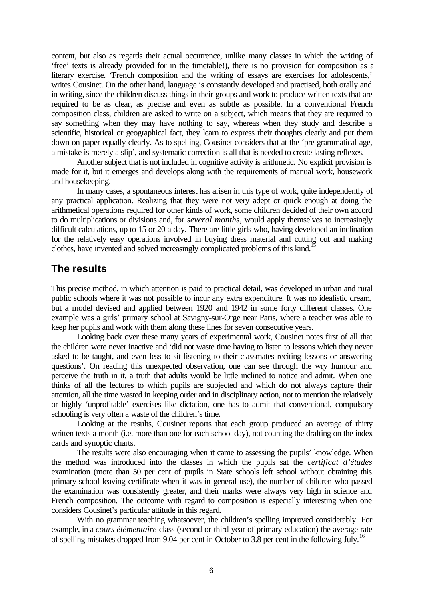content, but also as regards their actual occurrence, unlike many classes in which the writing of 'free' texts is already provided for in the timetable!), there is no provision for composition as a literary exercise. 'French composition and the writing of essays are exercises for adolescents,' writes Cousinet. On the other hand, language is constantly developed and practised, both orally and in writing, since the children discuss things in their groups and work to produce written texts that are required to be as clear, as precise and even as subtle as possible. In a conventional French composition class, children are asked to write on a subject, which means that they are required to say something when they may have nothing to say, whereas when they study and describe a scientific, historical or geographical fact, they learn to express their thoughts clearly and put them down on paper equally clearly. As to spelling, Cousinet considers that at the 'pre-grammatical age, a mistake is merely a slip', and systematic correction is all that is needed to create lasting reflexes.

Another subject that is not included in cognitive activity is arithmetic. No explicit provision is made for it, but it emerges and develops along with the requirements of manual work, housework and housekeeping.

In many cases, a spontaneous interest has arisen in this type of work, quite independently of any practical application. Realizing that they were not very adept or quick enough at doing the arithmetical operations required for other kinds of work, some children decided of their own accord to do multiplications or divisions and, for *several months*, would apply themselves to increasingly difficult calculations, up to 15 or 20 a day. There are little girls who, having developed an inclination for the relatively easy operations involved in buying dress material and cutting out and making clothes, have invented and solved increasingly complicated problems of this kind.<sup>1</sup>

## **The results**

This precise method, in which attention is paid to practical detail, was developed in urban and rural public schools where it was not possible to incur any extra expenditure. It was no idealistic dream, but a model devised and applied between 1920 and 1942 in some forty different classes. One example was a girls' primary school at Savigny-sur-Orge near Paris, where a teacher was able to keep her pupils and work with them along these lines for seven consecutive years.

Looking back over these many years of experimental work, Cousinet notes first of all that the children were never inactive and 'did not waste time having to listen to lessons which they never asked to be taught, and even less to sit listening to their classmates reciting lessons or answering questions'. On reading this unexpected observation, one can see through the wry humour and perceive the truth in it, a truth that adults would be little inclined to notice and admit. When one thinks of all the lectures to which pupils are subjected and which do not always capture their attention, all the time wasted in keeping order and in disciplinary action, not to mention the relatively or highly 'unprofitable' exercises like dictation, one has to admit that conventional, compulsory schooling is very often a waste of the children's time.

Looking at the results, Cousinet reports that each group produced an average of thirty written texts a month (i.e. more than one for each school day), not counting the drafting on the index cards and synoptic charts.

The results were also encouraging when it came to assessing the pupils' knowledge. When the method was introduced into the classes in which the pupils sat the *certificat d'études* examination (more than 50 per cent of pupils in State schools left school without obtaining this primary-school leaving certificate when it was in general use), the number of children who passed the examination was consistently greater, and their marks were always very high in science and French composition. The outcome with regard to composition is especially interesting when one considers Cousinet's particular attitude in this regard.

With no grammar teaching whatsoever, the children's spelling improved considerably. For example, in a *cours élémentaire* class (second or third year of primary education) the average rate of spelling mistakes dropped from 9.04 per cent in October to 3.8 per cent in the following July.<sup>16</sup>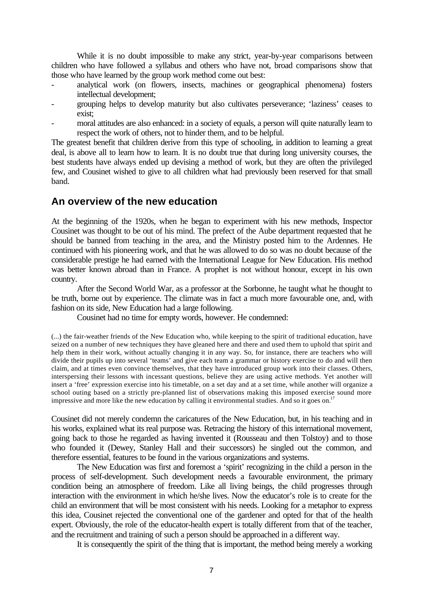While it is no doubt impossible to make any strict, year-by-year comparisons between children who have followed a syllabus and others who have not, broad comparisons show that those who have learned by the group work method come out best:

- analytical work (on flowers, insects, machines or geographical phenomena) fosters intellectual development;
- grouping helps to develop maturity but also cultivates perseverance; 'laziness' ceases to exist;
- moral attitudes are also enhanced: in a society of equals, a person will quite naturally learn to respect the work of others, not to hinder them, and to be helpful.

The greatest benefit that children derive from this type of schooling, in addition to learning a great deal, is above all to learn how to learn. It is no doubt true that during long university courses, the best students have always ended up devising a method of work, but they are often the privileged few, and Cousinet wished to give to all children what had previously been reserved for that small band.

## **An overview of the new education**

At the beginning of the 1920s, when he began to experiment with his new methods, Inspector Cousinet was thought to be out of his mind. The prefect of the Aube department requested that he should be banned from teaching in the area, and the Ministry posted him to the Ardennes. He continued with his pioneering work, and that he was allowed to do so was no doubt because of the considerable prestige he had earned with the International League for New Education. His method was better known abroad than in France. A prophet is not without honour, except in his own country.

After the Second World War, as a professor at the Sorbonne, he taught what he thought to be truth, borne out by experience. The climate was in fact a much more favourable one, and, with fashion on its side, New Education had a large following.

Cousinet had no time for empty words, however. He condemned:

(...) the fair-weather friends of the New Education who, while keeping to the spirit of traditional education, have seized on a number of new techniques they have gleaned here and there and used them to uphold that spirit and help them in their work, without actually changing it in any way. So, for instance, there are teachers who will divide their pupils up into several 'teams' and give each team a grammar or history exercise to do and will then claim, and at times even convince themselves, that they have introduced group work into their classes. Others, interspersing their lessons with incessant questions, believe they are using active methods. Yet another will insert a 'free' expression exercise into his timetable, on a set day and at a set time, while another will organize a school outing based on a strictly pre-planned list of observations making this imposed exercise sound more impressive and more like the new education by calling it environmental studies. And so it goes on.<sup>1</sup>

Cousinet did not merely condemn the caricatures of the New Education, but, in his teaching and in his works, explained what its real purpose was. Retracing the history of this international movement, going back to those he regarded as having invented it (Rousseau and then Tolstoy) and to those who founded it (Dewey, Stanley Hall and their successors) he singled out the common, and therefore essential, features to be found in the various organizations and systems.

The New Education was first and foremost a 'spirit' recognizing in the child a person in the process of self-development. Such development needs a favourable environment, the primary condition being an atmosphere of freedom. Like all living beings, the child progresses through interaction with the environment in which he/she lives. Now the educator's role is to create for the child an environment that will be most consistent with his needs. Looking for a metaphor to express this idea, Cousinet rejected the conventional one of the gardener and opted for that of the health expert. Obviously, the role of the educator-health expert is totally different from that of the teacher, and the recruitment and training of such a person should be approached in a different way.

It is consequently the spirit of the thing that is important, the method being merely a working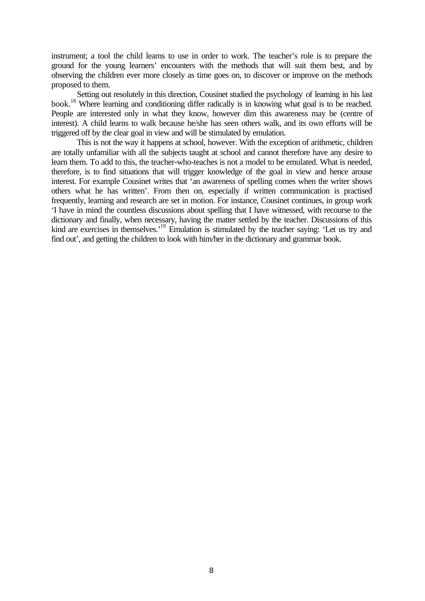instrument; a tool the child learns to use in order to work. The teacher's role is to prepare the ground for the young learners' encounters with the methods that will suit them best, and by observing the children ever more closely as time goes on, to discover or improve on the methods proposed to them.

Setting out resolutely in this direction, Cousinet studied the psychology of learning in his last book.<sup>18</sup> Where learning and conditioning differ radically is in knowing what goal is to be reached. People are interested only in what they know, however dim this awareness may be (centre of interest). A child learns to walk because he/she has seen others walk, and its own efforts will be triggered off by the clear goal in view and will be stimulated by emulation.

This is not the way it happens at school, however. With the exception of arithmetic, children are totally unfamiliar with all the subjects taught at school and cannot therefore have any desire to learn them. To add to this, the teacher-who-teaches is not a model to be emulated. What is needed, therefore, is to find situations that will trigger knowledge of the goal in view and hence arouse interest. For example Cousinet writes that 'an awareness of spelling comes when the writer shows others what he has written'. From then on, especially if written communication is practised frequently, learning and research are set in motion. For instance, Cousinet continues, in group work 'I have in mind the countless discussions about spelling that I have witnessed, with recourse to the dictionary and finally, when necessary, having the matter settled by the teacher. Discussions of this kind are exercises in themselves.<sup>19</sup> Emulation is stimulated by the teacher saying: 'Let us try and find out', and getting the children to look with him/her in the dictionary and grammar book.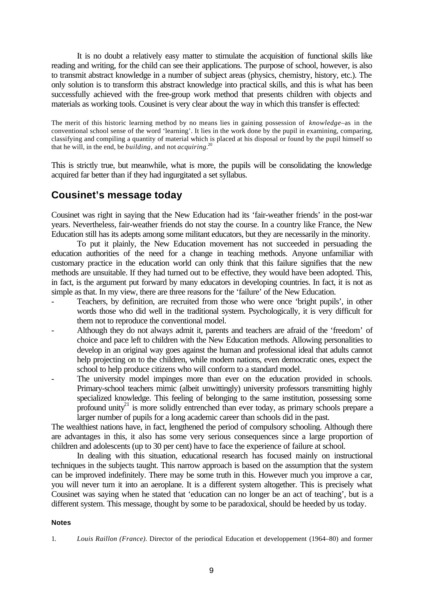It is no doubt a relatively easy matter to stimulate the acquisition of functional skills like reading and writing, for the child can see their applications. The purpose of school, however, is also to transmit abstract knowledge in a number of subject areas (physics, chemistry, history, etc.). The only solution is to transform this abstract knowledge into practical skills, and this is what has been successfully achieved with the free-group work method that presents children with objects and materials as working tools. Cousinet is very clear about the way in which this transfer is effected:

The merit of this historic learning method by no means lies in gaining possession of *knowledge*–as in the conventional school sense of the word 'learning'. It lies in the work done by the pupil in examining, comparing, classifying and compiling a quantity of material which is placed at his disposal or found by the pupil himself so that he will, in the end, be *building*, and not *acquiring*. 20

This is strictly true, but meanwhile, what is more, the pupils will be consolidating the knowledge acquired far better than if they had ingurgitated a set syllabus.

# **Cousinet's message today**

Cousinet was right in saying that the New Education had its 'fair-weather friends' in the post-war years. Nevertheless, fair-weather friends do not stay the course. In a country like France, the New Education still has its adepts among some militant educators, but they are necessarily in the minority.

To put it plainly, the New Education movement has not succeeded in persuading the education authorities of the need for a change in teaching methods. Anyone unfamiliar with customary practice in the education world can only think that this failure signifies that the new methods are unsuitable. If they had turned out to be effective, they would have been adopted. This, in fact, is the argument put forward by many educators in developing countries. In fact, it is not as simple as that. In my view, there are three reasons for the 'failure' of the New Education.

- Teachers, by definition, are recruited from those who were once 'bright pupils', in other words those who did well in the traditional system. Psychologically, it is very difficult for them not to reproduce the conventional model.
- Although they do not always admit it, parents and teachers are afraid of the 'freedom' of choice and pace left to children with the New Education methods. Allowing personalities to develop in an original way goes against the human and professional ideal that adults cannot help projecting on to the children, while modern nations, even democratic ones, expect the school to help produce citizens who will conform to a standard model.
- The university model impinges more than ever on the education provided in schools. Primary-school teachers mimic (albeit unwittingly) university professors transmitting highly specialized knowledge. This feeling of belonging to the same institution, possessing some profound unity<sup>21</sup> is more solidly entrenched than ever today, as primary schools prepare a larger number of pupils for a long academic career than schools did in the past.

The wealthiest nations have, in fact, lengthened the period of compulsory schooling. Although there are advantages in this, it also has some very serious consequences since a large proportion of children and adolescents (up to 30 per cent) have to face the experience of failure at school.

In dealing with this situation, educational research has focused mainly on instructional techniques in the subjects taught. This narrow approach is based on the assumption that the system can be improved indefinitely. There may be some truth in this. However much you improve a car, you will never turn it into an aeroplane. It is a different system altogether. This is precisely what Cousinet was saying when he stated that 'education can no longer be an act of teaching', but is a different system. This message, thought by some to be paradoxical, should be heeded by us today.

#### **Notes**

1. *Louis Raillon (France).* Director of the periodical Education et developpement (1964–80) and former